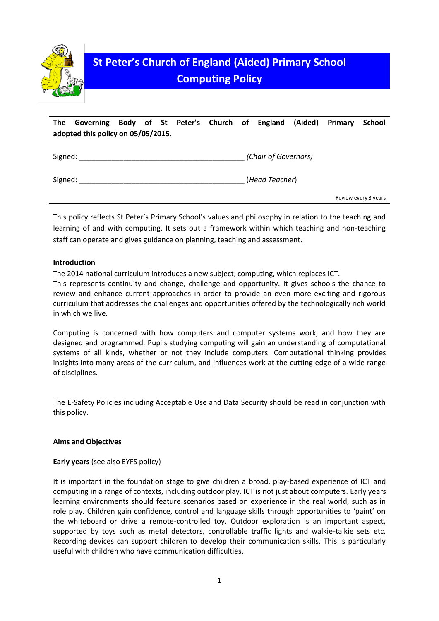

# **St Peter's Church of England (Aided) Primary School Computing Policy**

| The     | Governing Body of St Peter's Church of England (Aided) Primary<br>adopted this policy on 05/05/2015. |  |  |  |                      |  | School               |
|---------|------------------------------------------------------------------------------------------------------|--|--|--|----------------------|--|----------------------|
|         |                                                                                                      |  |  |  | (Chair of Governors) |  |                      |
| Signed: |                                                                                                      |  |  |  | (Head Teacher)       |  |                      |
|         |                                                                                                      |  |  |  |                      |  | Review every 3 years |

This policy reflects St Peter's Primary School's values and philosophy in relation to the teaching and learning of and with computing. It sets out a framework within which teaching and non-teaching staff can operate and gives guidance on planning, teaching and assessment.

### **Introduction**

The 2014 national curriculum introduces a new subject, computing, which replaces ICT.

This represents continuity and change, challenge and opportunity. It gives schools the chance to review and enhance current approaches in order to provide an even more exciting and rigorous curriculum that addresses the challenges and opportunities offered by the technologically rich world in which we live.

Computing is concerned with how computers and computer systems work, and how they are designed and programmed. Pupils studying computing will gain an understanding of computational systems of all kinds, whether or not they include computers. Computational thinking provides insights into many areas of the curriculum, and influences work at the cutting edge of a wide range of disciplines.

The E-Safety Policies including Acceptable Use and Data Security should be read in conjunction with this policy.

## **Aims and Objectives**

#### **Early years** (see also EYFS policy)

It is important in the foundation stage to give children a broad, play-based experience of ICT and computing in a range of contexts, including outdoor play. ICT is not just about computers. Early years learning environments should feature scenarios based on experience in the real world, such as in role play. Children gain confidence, control and language skills through opportunities to 'paint' on the whiteboard or drive a remote-controlled toy. Outdoor exploration is an important aspect, supported by toys such as metal detectors, controllable traffic lights and walkie-talkie sets etc. Recording devices can support children to develop their communication skills. This is particularly useful with children who have communication difficulties.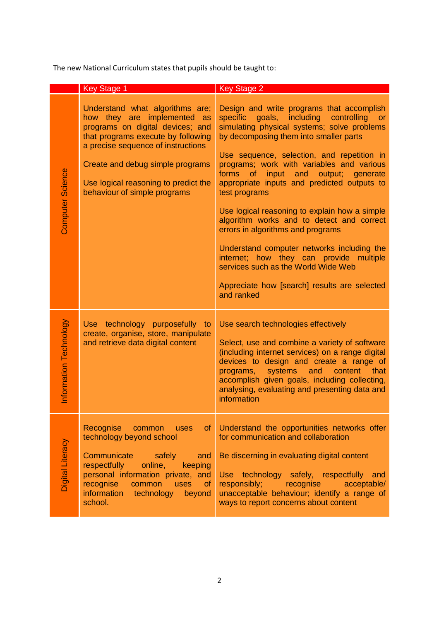The new National Curriculum states that pupils should be taught to:

|                         | <b>Key Stage 1</b>                                                                                                                                                                                                                                                                              | <b>Key Stage 2</b>                                                                                                                                                                                                                                                                                                                                                                                                                                                                                                                                                                                                                                                                                                                        |
|-------------------------|-------------------------------------------------------------------------------------------------------------------------------------------------------------------------------------------------------------------------------------------------------------------------------------------------|-------------------------------------------------------------------------------------------------------------------------------------------------------------------------------------------------------------------------------------------------------------------------------------------------------------------------------------------------------------------------------------------------------------------------------------------------------------------------------------------------------------------------------------------------------------------------------------------------------------------------------------------------------------------------------------------------------------------------------------------|
| <b>Computer Science</b> | Understand what algorithms are;<br>how they are implemented as<br>programs on digital devices; and<br>that programs execute by following<br>a precise sequence of instructions<br>Create and debug simple programs<br>Use logical reasoning to predict the<br>behaviour of simple programs      | Design and write programs that accomplish<br>goals, including<br>controlling<br>specific<br>or<br>simulating physical systems; solve problems<br>by decomposing them into smaller parts<br>Use sequence, selection, and repetition in<br>programs; work with variables and various<br>forms<br>of<br>input<br>and<br>output;<br>generate<br>appropriate inputs and predicted outputs to<br>test programs<br>Use logical reasoning to explain how a simple<br>algorithm works and to detect and correct<br>errors in algorithms and programs<br>Understand computer networks including the<br>internet; how they can provide multiple<br>services such as the World Wide Web<br>Appreciate how [search] results are selected<br>and ranked |
| Information Technology  | Use technology purposefully to<br>create, organise, store, manipulate<br>and retrieve data digital content                                                                                                                                                                                      | Use search technologies effectively<br>Select, use and combine a variety of software<br>(including internet services) on a range digital<br>devices to design and create a range of<br>systems<br>and<br>content<br>that<br>programs,<br>accomplish given goals, including collecting,<br>analysing, evaluating and presenting data and<br>information                                                                                                                                                                                                                                                                                                                                                                                    |
| Digital Literacy        | Recognise<br>common<br>uses<br><sub>of</sub><br>technology beyond school<br>Communicate<br>safely<br>and<br>respectfully<br>online,<br>keeping<br>personal information private, and<br>recognise<br>common<br><b>uses</b><br><b>of</b><br><b>information</b><br>technology<br>beyond<br>school. | Understand the opportunities networks offer<br>for communication and collaboration<br>Be discerning in evaluating digital content<br>technology safely,<br>respectfully and<br><b>Use</b><br>recognise<br>responsibly;<br>acceptable/<br>unacceptable behaviour; identify a range of<br>ways to report concerns about content                                                                                                                                                                                                                                                                                                                                                                                                             |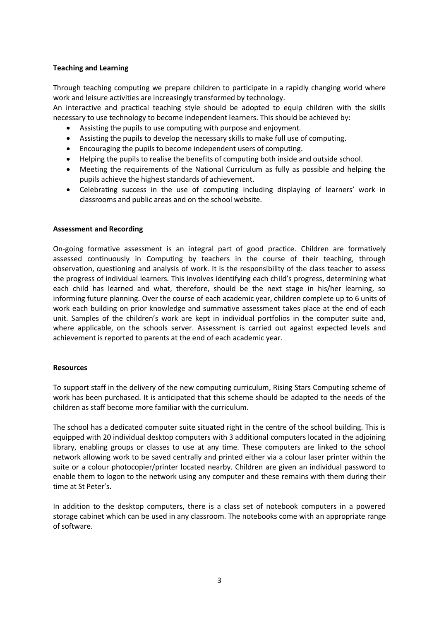#### **Teaching and Learning**

Through teaching computing we prepare children to participate in a rapidly changing world where work and leisure activities are increasingly transformed by technology.

An interactive and practical teaching style should be adopted to equip children with the skills necessary to use technology to become independent learners. This should be achieved by:

- Assisting the pupils to use computing with purpose and enjoyment.
- Assisting the pupils to develop the necessary skills to make full use of computing.
- Encouraging the pupils to become independent users of computing.
- Helping the pupils to realise the benefits of computing both inside and outside school.
- Meeting the requirements of the National Curriculum as fully as possible and helping the pupils achieve the highest standards of achievement.
- Celebrating success in the use of computing including displaying of learners' work in classrooms and public areas and on the school website.

#### **Assessment and Recording**

On-going formative assessment is an integral part of good practice. Children are formatively assessed continuously in Computing by teachers in the course of their teaching, through observation, questioning and analysis of work. It is the responsibility of the class teacher to assess the progress of individual learners. This involves identifying each child's progress, determining what each child has learned and what, therefore, should be the next stage in his/her learning, so informing future planning. Over the course of each academic year, children complete up to 6 units of work each building on prior knowledge and summative assessment takes place at the end of each unit. Samples of the children's work are kept in individual portfolios in the computer suite and, where applicable, on the schools server. Assessment is carried out against expected levels and achievement is reported to parents at the end of each academic year.

#### **Resources**

To support staff in the delivery of the new computing curriculum, Rising Stars Computing scheme of work has been purchased. It is anticipated that this scheme should be adapted to the needs of the children as staff become more familiar with the curriculum.

The school has a dedicated computer suite situated right in the centre of the school building. This is equipped with 20 individual desktop computers with 3 additional computers located in the adjoining library, enabling groups or classes to use at any time. These computers are linked to the school network allowing work to be saved centrally and printed either via a colour laser printer within the suite or a colour photocopier/printer located nearby. Children are given an individual password to enable them to logon to the network using any computer and these remains with them during their time at St Peter's.

In addition to the desktop computers, there is a class set of notebook computers in a powered storage cabinet which can be used in any classroom. The notebooks come with an appropriate range of software.